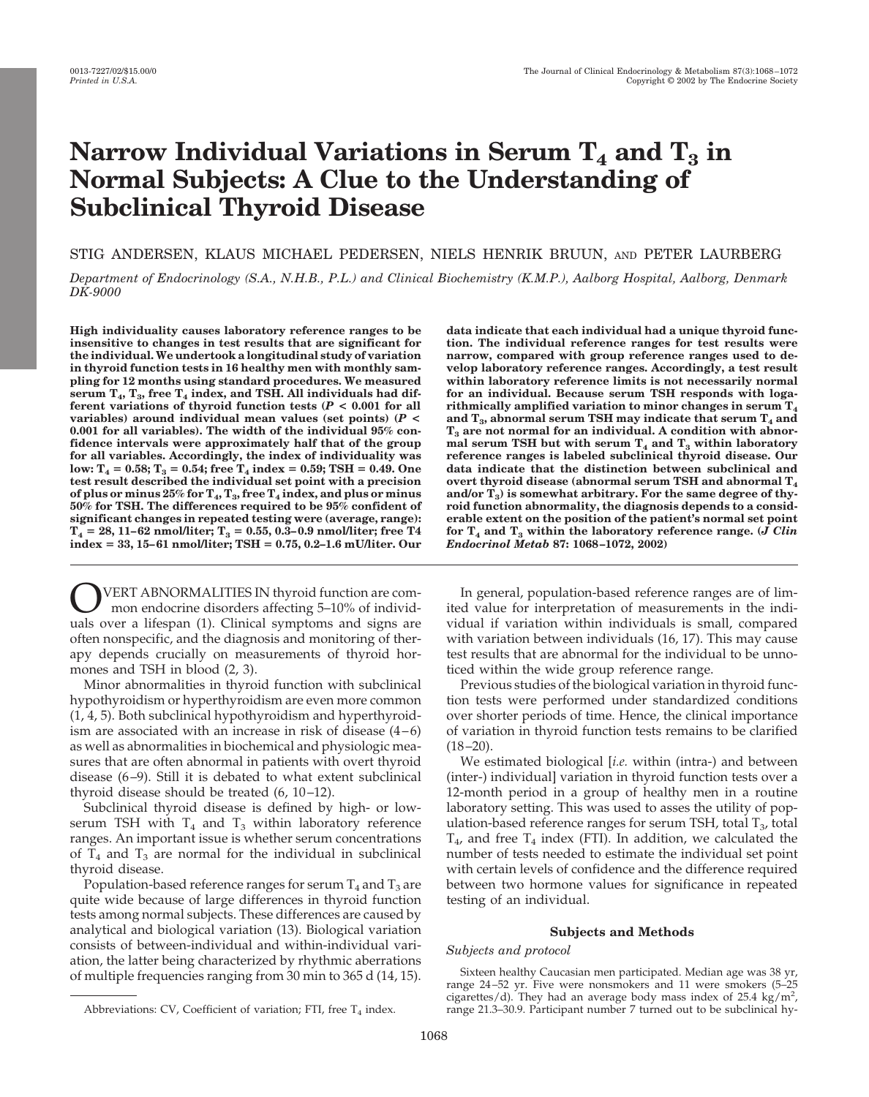# Narrow Individual Variations in Serum  $T_4$  and  $T_3$  in **Normal Subjects: A Clue to the Understanding of Subclinical Thyroid Disease**

STIG ANDERSEN, KLAUS MICHAEL PEDERSEN, NIELS HENRIK BRUUN, AND PETER LAURBERG

*Department of Endocrinology (S.A., N.H.B., P.L.) and Clinical Biochemistry (K.M.P.), Aalborg Hospital, Aalborg, Denmark DK-9000*

**High individuality causes laboratory reference ranges to be insensitive to changes in test results that are significant for the individual. We undertook a longitudinal study of variation in thyroid function tests in 16 healthy men with monthly sampling for 12 months using standard procedures. We measured** serum  $T_4$ ,  $T_3$ , free  $T_4$  index, and TSH. All individuals had dif**ferent variations of thyroid function tests (***P* **< 0.001 for all variables) around individual mean values (set points) (***P* **< 0.001 for all variables). The width of the individual 95% confidence intervals were approximately half that of the group for all variables. Accordingly, the index of individuality was**  $\text{low: } T_4 = 0.58; T_3 = 0.54; \text{free } T_4 \text{ index} = 0.59; \text{TSH} = 0.49. \text{ One}$ **test result described the individual set point with a precision of plus or minus 25% for T4, T3, free T4 index, and plus or minus 50% for TSH. The differences required to be 95% confident of significant changes in repeated testing were (average, range):**  $T_4 = 28, 11-62$  nmol/liter;  $T_3 = 0.55, 0.3-0.9$  nmol/liter; free T4 **index 33, 15–61 nmol/liter; TSH 0.75, 0.2–1.6 mU/liter. Our**

VERT ABNORMALITIES IN thyroid function are common endocrine disorders affecting 5–10% of individuals over a lifespan (1). Clinical symptoms and signs are often nonspecific, and the diagnosis and monitoring of therapy depends crucially on measurements of thyroid hormones and TSH in blood (2, 3).

Minor abnormalities in thyroid function with subclinical hypothyroidism or hyperthyroidism are even more common (1, 4, 5). Both subclinical hypothyroidism and hyperthyroidism are associated with an increase in risk of disease  $(4-6)$ as well as abnormalities in biochemical and physiologic measures that are often abnormal in patients with overt thyroid disease (6–9). Still it is debated to what extent subclinical thyroid disease should be treated (6, 10–12).

Subclinical thyroid disease is defined by high- or lowserum TSH with  $T_4$  and  $T_3$  within laboratory reference ranges. An important issue is whether serum concentrations of  $T_4$  and  $T_3$  are normal for the individual in subclinical thyroid disease.

Population-based reference ranges for serum  $T_4$  and  $T_3$  are quite wide because of large differences in thyroid function tests among normal subjects. These differences are caused by analytical and biological variation (13). Biological variation consists of between-individual and within-individual variation, the latter being characterized by rhythmic aberrations of multiple frequencies ranging from 30 min to 365 d (14, 15).

**data indicate that each individual had a unique thyroid function. The individual reference ranges for test results were narrow, compared with group reference ranges used to develop laboratory reference ranges. Accordingly, a test result within laboratory reference limits is not necessarily normal for an individual. Because serum TSH responds with logarithmically amplified variation to minor changes in serum T4** and  $T_a$ , abnormal serum TSH may indicate that serum  $T_a$  and **T3 are not normal for an individual. A condition with abnor**mal serum TSH but with serum  $T_4$  and  $T_3$  within laboratory **reference ranges is labeled subclinical thyroid disease. Our data indicate that the distinction between subclinical and overt thyroid disease (abnormal serum TSH and abnormal T4** and/or  $T<sub>3</sub>$ ) is somewhat arbitrary. For the same degree of thy**roid function abnormality, the diagnosis depends to a considerable extent on the position of the patient's normal set point** for  $T_4$  and  $T_3$  within the laboratory reference range. (*J Clin Endocrinol Metab* **87: 1068–1072, 2002)**

In general, population-based reference ranges are of limited value for interpretation of measurements in the individual if variation within individuals is small, compared with variation between individuals (16, 17). This may cause test results that are abnormal for the individual to be unnoticed within the wide group reference range.

Previous studies of the biological variation in thyroid function tests were performed under standardized conditions over shorter periods of time. Hence, the clinical importance of variation in thyroid function tests remains to be clarified  $(18–20)$ .

We estimated biological [*i.e.* within (intra-) and between (inter-) individual] variation in thyroid function tests over a 12-month period in a group of healthy men in a routine laboratory setting. This was used to asses the utility of population-based reference ranges for serum TSH, total  $T_3$ , total  $T_{4}$ , and free  $T_{4}$  index (FTI). In addition, we calculated the number of tests needed to estimate the individual set point with certain levels of confidence and the difference required between two hormone values for significance in repeated testing of an individual.

## **Subjects and Methods**

## *Subjects and protocol*

Sixteen healthy Caucasian men participated. Median age was 38 yr, range 24–52 yr. Five were nonsmokers and 11 were smokers (5–25 cigarettes/d). They had an average body mass index of 25.4 kg/m<sup>2</sup>, Abbreviations: CV, Coefficient of variation; FTI, free  $T_4$  index. Trange 21.3–30.9. Participant number 7 turned out to be subclinical hy-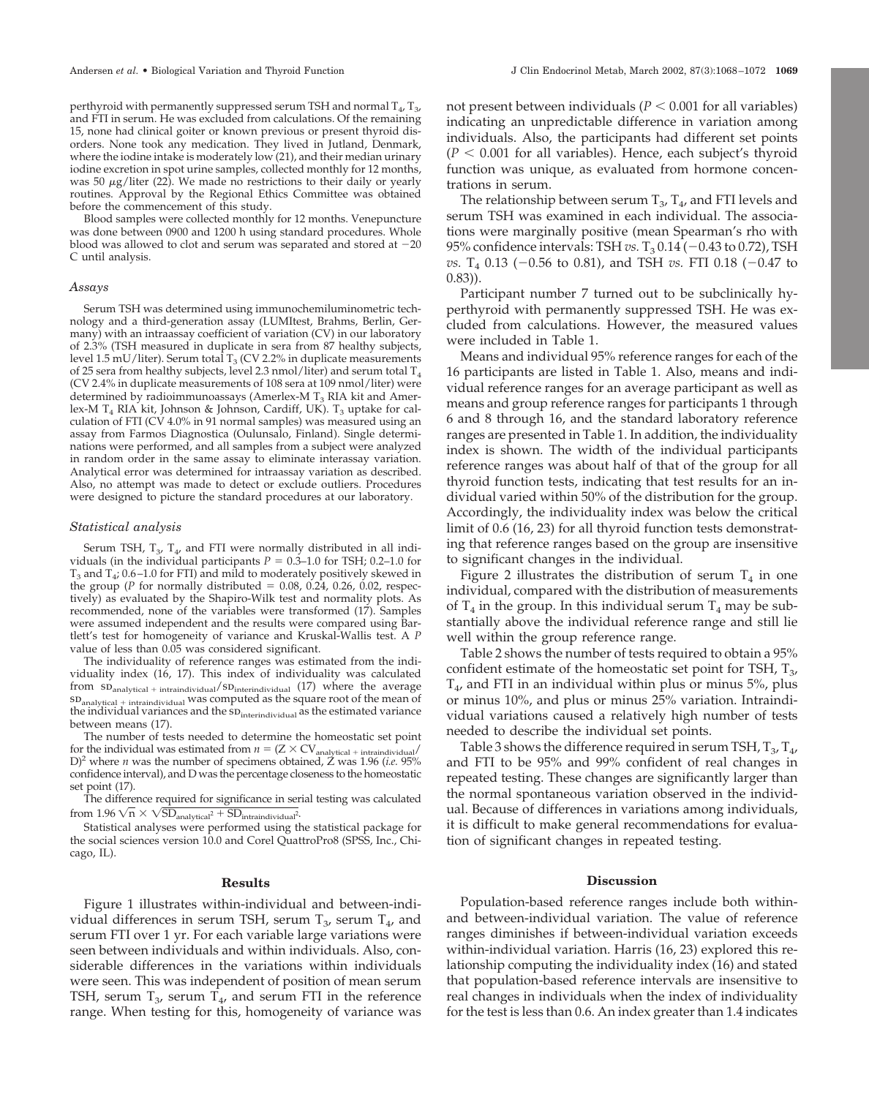perthyroid with permanently suppressed serum TSH and normal  $T_4$ ,  $T_3$ , and FTI in serum. He was excluded from calculations. Of the remaining 15, none had clinical goiter or known previous or present thyroid disorders. None took any medication. They lived in Jutland, Denmark, where the iodine intake is moderately low (21), and their median urinary iodine excretion in spot urine samples, collected monthly for 12 months, was 50  $\mu$ g/liter (22). We made no restrictions to their daily or yearly routines. Approval by the Regional Ethics Committee was obtained before the commencement of this study.

Blood samples were collected monthly for 12 months. Venepuncture was done between 0900 and 1200 h using standard procedures. Whole blood was allowed to clot and serum was separated and stored at  $-20$ C until analysis.

#### *Assays*

Serum TSH was determined using immunochemiluminometric technology and a third-generation assay (LUMItest, Brahms, Berlin, Germany) with an intraassay coefficient of variation (CV) in our laboratory of 2.3% (TSH measured in duplicate in sera from 87 healthy subjects, level 1.5 mU/liter). Serum total  $T_3$  (CV 2.2% in duplicate measurements of 25 sera from healthy subjects, level 2.3 nmol/liter) and serum total  $T_4$ (CV 2.4% in duplicate measurements of 108 sera at 109 nmol/liter) were determined by radioimmunoassays (Amerlex-M  $T_3$  RIA kit and Amerlex-M  $T_4$  RIA kit, Johnson & Johnson, Cardiff, UK).  $T_3$  uptake for calculation of FTI (CV 4.0% in 91 normal samples) was measured using an assay from Farmos Diagnostica (Oulunsalo, Finland). Single determinations were performed, and all samples from a subject were analyzed in random order in the same assay to eliminate interassay variation. Analytical error was determined for intraassay variation as described. Also, no attempt was made to detect or exclude outliers. Procedures were designed to picture the standard procedures at our laboratory.

### *Statistical analysis*

Serum TSH,  $T_{3}$ ,  $T_{4}$ , and FTI were normally distributed in all individuals (in the individual participants  $P = 0.3$ –1.0 for TSH; 0.2–1.0 for  $T_3$  and  $T_4$ ; 0.6–1.0 for FTI) and mild to moderately positively skewed in the group ( $P$  for normally distributed  $= 0.08$ , 0.24, 0.26, 0.02, respectively) as evaluated by the Shapiro-Wilk test and normality plots. As recommended, none of the variables were transformed (17). Samples were assumed independent and the results were compared using Bartlett's test for homogeneity of variance and Kruskal-Wallis test. A *P* value of less than 0.05 was considered significant.

The individuality of reference ranges was estimated from the individuality index (16, 17). This index of individuality was calculated from  $SD_{analytical + intraindividual}/SD_{interindividual}$  (17) where the average  $SD$ <sub>analytical + intraindividual</sub> was computed as the square root of the mean of the individual variances and the  $SD<sub>interindividual</sub>$  as the estimated variance between means (17).

The number of tests needed to determine the homeostatic set point for the individual was estimated from  $n = (Z \times CV_{analytical + intraindividual})$ D)2 where *n* was the number of specimens obtained, Z was 1.96 (*i.e.* 95% confidence interval), and D was the percentage closeness to the homeostatic set point (17).

The difference required for significance in serial testing was calculated  ${\rm from~1.96\,V\overline{n}\times\sqrt{SD_{analytical^2}+ SD_{intraidividual^2}}}.$ 

Statistical analyses were performed using the statistical package for the social sciences version 10.0 and Corel QuattroPro8 (SPSS, Inc., Chicago, IL).

#### **Results**

Figure 1 illustrates within-individual and between-individual differences in serum TSH, serum  $T_{3}$ , serum  $T_{4}$ , and serum FTI over 1 yr. For each variable large variations were seen between individuals and within individuals. Also, considerable differences in the variations within individuals were seen. This was independent of position of mean serum TSH, serum  $T_{3}$ , serum  $T_{4}$ , and serum FTI in the reference range. When testing for this, homogeneity of variance was not present between individuals ( $P < 0.001$  for all variables) indicating an unpredictable difference in variation among individuals. Also, the participants had different set points  $(P < 0.001$  for all variables). Hence, each subject's thyroid function was unique, as evaluated from hormone concentrations in serum.

The relationship between serum  $T_{3}$ ,  $T_{4}$ , and FTI levels and serum TSH was examined in each individual. The associations were marginally positive (mean Spearman's rho with 95% confidence intervals: TSH  $vs. T_3 0.14 (-0.43 \text{ to } 0.72)$ , TSH *vs.* T<sub>4</sub> 0.13 (-0.56 to 0.81), and TSH *vs.* FTI 0.18 (-0.47 to 0.83)).

Participant number 7 turned out to be subclinically hyperthyroid with permanently suppressed TSH. He was excluded from calculations. However, the measured values were included in Table 1.

Means and individual 95% reference ranges for each of the 16 participants are listed in Table 1. Also, means and individual reference ranges for an average participant as well as means and group reference ranges for participants 1 through 6 and 8 through 16, and the standard laboratory reference ranges are presented in Table 1. In addition, the individuality index is shown. The width of the individual participants reference ranges was about half of that of the group for all thyroid function tests, indicating that test results for an individual varied within 50% of the distribution for the group. Accordingly, the individuality index was below the critical limit of 0.6 (16, 23) for all thyroid function tests demonstrating that reference ranges based on the group are insensitive to significant changes in the individual.

Figure 2 illustrates the distribution of serum  $T_4$  in one individual, compared with the distribution of measurements of  $T_4$  in the group. In this individual serum  $T_4$  may be substantially above the individual reference range and still lie well within the group reference range.

Table 2 shows the number of tests required to obtain a 95% confident estimate of the homeostatic set point for TSH,  $T_{3}$ ,  $T<sub>4</sub>$ , and FTI in an individual within plus or minus 5%, plus or minus 10%, and plus or minus 25% variation. Intraindividual variations caused a relatively high number of tests needed to describe the individual set points.

Table 3 shows the difference required in serum TSH,  $T_3$ ,  $T_4$ , and FTI to be 95% and 99% confident of real changes in repeated testing. These changes are significantly larger than the normal spontaneous variation observed in the individual. Because of differences in variations among individuals, it is difficult to make general recommendations for evaluation of significant changes in repeated testing.

### **Discussion**

Population-based reference ranges include both withinand between-individual variation. The value of reference ranges diminishes if between-individual variation exceeds within-individual variation. Harris (16, 23) explored this relationship computing the individuality index (16) and stated that population-based reference intervals are insensitive to real changes in individuals when the index of individuality for the test is less than 0.6. An index greater than 1.4 indicates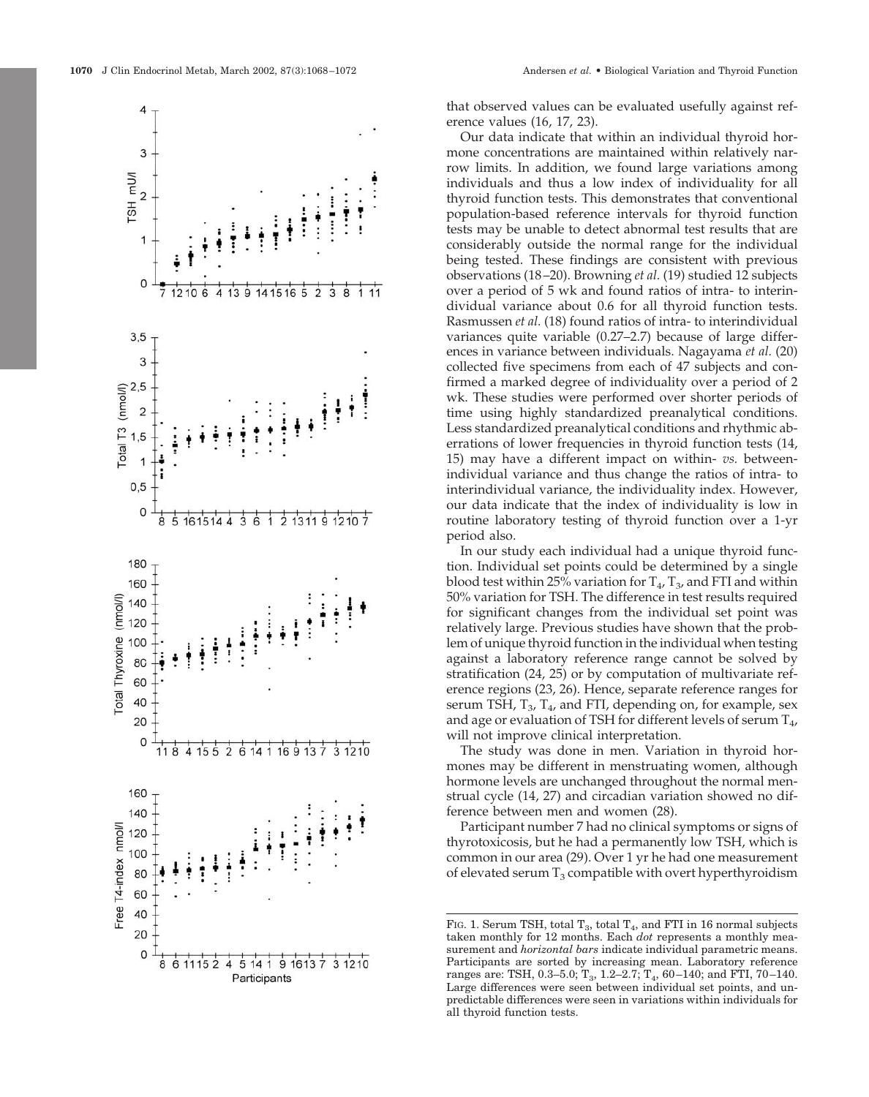

that observed values can be evaluated usefully against reference values (16, 17, 23).

Our data indicate that within an individual thyroid hormone concentrations are maintained within relatively narrow limits. In addition, we found large variations among individuals and thus a low index of individuality for all thyroid function tests. This demonstrates that conventional population-based reference intervals for thyroid function tests may be unable to detect abnormal test results that are considerably outside the normal range for the individual being tested. These findings are consistent with previous observations (18–20). Browning *et al.* (19) studied 12 subjects over a period of 5 wk and found ratios of intra- to interindividual variance about 0.6 for all thyroid function tests. Rasmussen *et al.* (18) found ratios of intra- to interindividual variances quite variable (0.27–2.7) because of large differences in variance between individuals. Nagayama *et al.* (20) collected five specimens from each of 47 subjects and confirmed a marked degree of individuality over a period of 2 wk. These studies were performed over shorter periods of time using highly standardized preanalytical conditions. Less standardized preanalytical conditions and rhythmic aberrations of lower frequencies in thyroid function tests (14, 15) may have a different impact on within- *vs.* betweenindividual variance and thus change the ratios of intra- to interindividual variance, the individuality index. However, our data indicate that the index of individuality is low in routine laboratory testing of thyroid function over a 1-yr period also.

In our study each individual had a unique thyroid function. Individual set points could be determined by a single blood test within 25% variation for  $T_4$ ,  $T_3$ , and FTI and within 50% variation for TSH. The difference in test results required for significant changes from the individual set point was relatively large. Previous studies have shown that the problem of unique thyroid function in the individual when testing against a laboratory reference range cannot be solved by stratification (24, 25) or by computation of multivariate reference regions (23, 26). Hence, separate reference ranges for serum TSH,  $T_3$ ,  $T_4$ , and FTI, depending on, for example, sex and age or evaluation of TSH for different levels of serum  $T_{4}$ , will not improve clinical interpretation.

The study was done in men. Variation in thyroid hormones may be different in menstruating women, although hormone levels are unchanged throughout the normal menstrual cycle (14, 27) and circadian variation showed no difference between men and women (28).

Participant number 7 had no clinical symptoms or signs of thyrotoxicosis, but he had a permanently low TSH, which is common in our area (29). Over 1 yr he had one measurement of elevated serum  $T_3$  compatible with overt hyperthyroidism

FIG. 1. Serum TSH, total  $T_3$ , total  $T_4$ , and FTI in 16 normal subjects taken monthly for 12 months. Each *dot* represents a monthly measurement and *horizontal bars* indicate individual parametric means. Participants are sorted by increasing mean. Laboratory reference ranges are: TSH, 0.3–5.0;  $T_3$ , 1.2–2.7;  $T_4$ , 60–140; and FTI, 70–140. Large differences were seen between individual set points, and unpredictable differences were seen in variations within individuals for all thyroid function tests.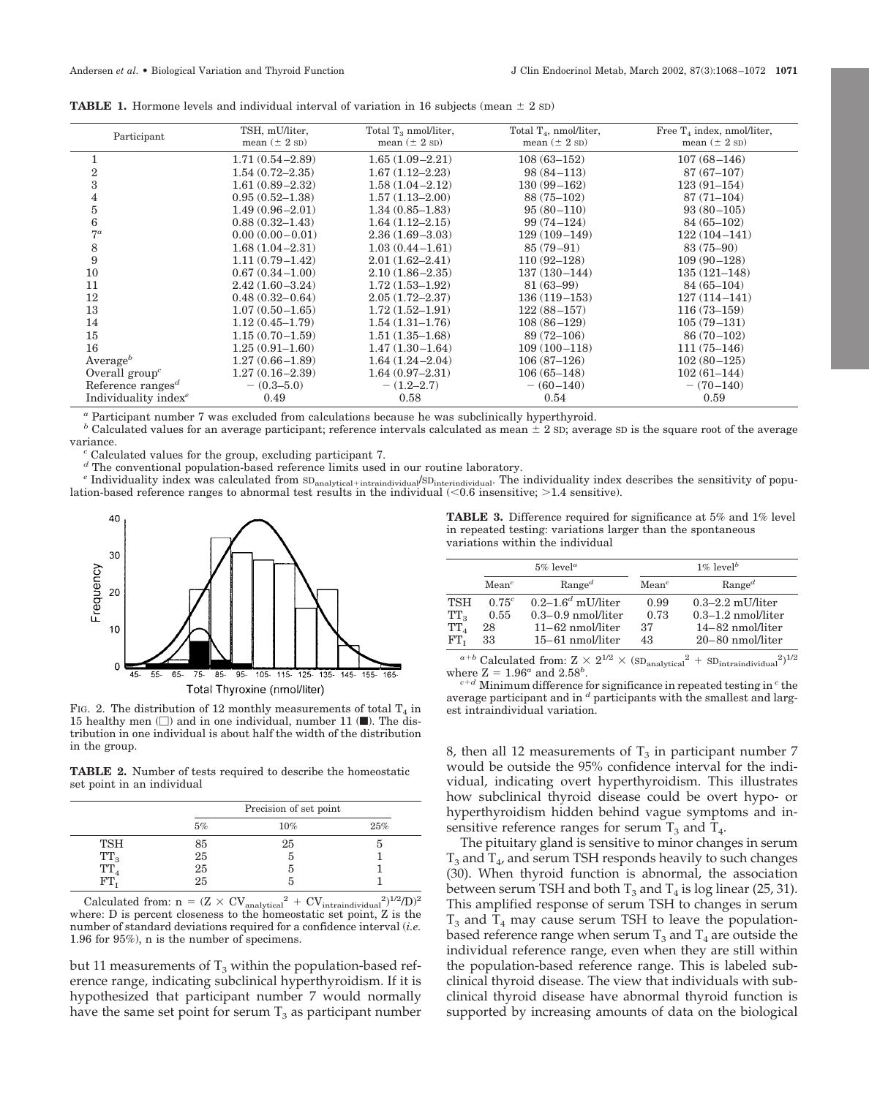| <b>TABLE 1.</b> Hormone levels and individual interval of variation in 16 subjects (mean $\pm$ 2 sD) |  |  |  |  |  |  |  |  |  |  |  |  |
|------------------------------------------------------------------------------------------------------|--|--|--|--|--|--|--|--|--|--|--|--|
|------------------------------------------------------------------------------------------------------|--|--|--|--|--|--|--|--|--|--|--|--|

| Participant                                | TSH, mU/liter,<br>mean $(\pm 2 \text{ SD})$ | Total $T_3$ nmol/liter,<br>mean $(\pm 2 \text{ SD})$ | Total $T_4$ , nmol/liter,<br>mean $(\pm 2 \text{ SD})$ | Free $T_4$ index, nmol/liter,<br>mean $(\pm 2 \text{ SD})$ |
|--------------------------------------------|---------------------------------------------|------------------------------------------------------|--------------------------------------------------------|------------------------------------------------------------|
| 1                                          | $1.71(0.54 - 2.89)$                         | $1.65(1.09-2.21)$                                    | $108(63 - 152)$                                        | $107(68 - 146)$                                            |
| $\overline{2}$                             | $1.54(0.72 - 2.35)$                         | $1.67(1.12 - 2.23)$                                  | $98(84 - 113)$                                         | $87(67-107)$                                               |
| 3                                          | $1.61(0.89 - 2.32)$                         | $1.58(1.04 - 2.12)$                                  | $130(99 - 162)$                                        | $123(91 - 154)$                                            |
| 4                                          | $0.95(0.52 - 1.38)$                         | $1.57(1.13 - 2.00)$                                  | $88(75-102)$                                           | $87(71-104)$                                               |
| $\bf 5$                                    | $1.49(0.96 - 2.01)$                         | $1.34(0.85 - 1.83)$                                  | $95(80-110)$                                           | $93(80-105)$                                               |
| 6                                          | $0.88(0.32 - 1.43)$                         | $1.64(1.12 - 2.15)$                                  | $99(74 - 124)$                                         | $84(65-102)$                                               |
| $7^a$                                      | $0.00(0.00 - 0.01)$                         | $2.36(1.69 - 3.03)$                                  | $129(109 - 149)$                                       | $122(104 - 141)$                                           |
| 8                                          | $1.68(1.04 - 2.31)$                         | $1.03(0.44 - 1.61)$                                  | $85(79-91)$                                            | 83 (75-90)                                                 |
| 9                                          | $1.11(0.79 - 1.42)$                         | $2.01(1.62 - 2.41)$                                  | $110(92 - 128)$                                        | $109(90-128)$                                              |
| 10                                         | $0.67(0.34 - 1.00)$                         | $2.10(1.86 - 2.35)$                                  | $137(130 - 144)$                                       | $135(121 - 148)$                                           |
| 11                                         | $2.42(1.60 - 3.24)$                         | $1.72(1.53 - 1.92)$                                  | $81(63-99)$                                            | $84(65-104)$                                               |
| 12                                         | $0.48(0.32 - 0.64)$                         | $2.05(1.72 - 2.37)$                                  | $136(119 - 153)$                                       | $127(114 - 141)$                                           |
| 13                                         | $1.07(0.50 - 1.65)$                         | $1.72(1.52 - 1.91)$                                  | $122(88 - 157)$                                        | $116(73 - 159)$                                            |
| 14                                         | $1.12(0.45 - 1.79)$                         | $1.54(1.31 - 1.76)$                                  | $108(86 - 129)$                                        | $105(79 - 131)$                                            |
| 15                                         | $1.15(0.70 - 1.59)$                         | $1.51(1.35 - 1.68)$                                  | $89(72 - 106)$                                         | $86(70-102)$                                               |
| 16                                         | $1.25(0.91 - 1.60)$                         | $1.47(1.30 - 1.64)$                                  | $109(100 - 118)$                                       | $111(75 - 146)$                                            |
| Average <sup>b</sup>                       | $1.27(0.66 - 1.89)$                         | $1.64(1.24 - 2.04)$                                  | $106(87-126)$                                          | $102(80-125)$                                              |
| Overall $groupc$                           | $1.27(0.16 - 2.39)$                         | $1.64(0.97 - 2.31)$                                  | $106(65 - 148)$                                        | $102(61 - 144)$                                            |
| Reference ranges <sup><math>d</math></sup> | $-$ (0.3–5.0)                               | $-$ (1.2–2.7)                                        | $- (60 - 140)$                                         | $- (70 - 140)$                                             |
| Individuality index <sup>e</sup>           | 0.49                                        | 0.58                                                 | 0.54                                                   | 0.59                                                       |

*<sup>a</sup>* Participant number 7 was excluded from calculations because he was subclinically hyperthyroid.

<sup>*b*</sup> Calculated values for an average participant; reference intervals calculated as mean  $\pm$  2 sD; average sD is the square root of the average variance.<br><sup>*c*</sup> Calculated values for the group, excluding participant 7.<br><sup>*d*</sup> The conventional population-based reference limits used in our routine laboratory.

 $^e$  Individuality index was calculated from  $SD_{analytical + intraindividual}/SD_{interindividual}$ . The individuality index describes the sensitivity of population-based reference ranges to abnormal test results in the individual  $\langle 0.6 \text{ insensitive} \rangle$ ;  $\langle 1.4 \text{ sensitive} \rangle$ .



FIG. 2. The distribution of 12 monthly measurements of total  $T_4$  in 15 healthy men  $\Box$  and in one individual, number 11 ( $\Box$ ). The distribution in one individual is about half the width of the distribution in the group.

**TABLE 2.** Number of tests required to describe the homeostatic set point in an individual

|            |                                         | Precision of set point |     |
|------------|-----------------------------------------|------------------------|-----|
|            | 5%                                      | 10%                    | 25% |
| <b>TSH</b> |                                         | 25                     | Ð   |
| $TT_3$     | $\begin{array}{c} 85 \\ 25 \end{array}$ | Ð                      |     |
| $TT_4$     | 25                                      |                        |     |
| FТ         | 25                                      |                        |     |

Calculated from:  $n = (Z \times CV_{analytical}^2 + CV_{intraindividual}^2)^{1/2}/D)^2$ where: D is percent closeness to the homeostatic set point, Z is the number of standard deviations required for a confidence interval (*i.e.* 1.96 for 95%), n is the number of specimens.

but 11 measurements of  $T_3$  within the population-based reference range, indicating subclinical hyperthyroidism. If it is hypothesized that participant number 7 would normally have the same set point for serum  $T_3$  as participant number

**TABLE 3.** Difference required for significance at 5% and 1% level in repeated testing: variations larger than the spontaneous variations within the individual

|                 |                   | $5\%$ level <sup>a</sup> | $1\%$ level <sup>b</sup> |                      |  |  |
|-----------------|-------------------|--------------------------|--------------------------|----------------------|--|--|
|                 | Mean <sup>c</sup> | $Range^d$                | Mean <sup>c</sup>        | $Range^d$            |  |  |
| <b>TSH</b>      | $0.75^{c}$        | $0.2-1.6d$ mU/liter      | 0.99                     | $0.3-2.2$ mU/liter   |  |  |
| $TT_{3}$        | 0.55              | $0.3-0.9$ nmol/liter     | 0.73                     | $0.3-1.2$ nmol/liter |  |  |
| $TT_A$          | 28                | $11-62$ nmol/liter       | 37                       | $14 - 82$ nmol/liter |  |  |
| FT <sub>r</sub> | 33                | $15-61$ nmol/liter       | 43                       | $20 - 80$ nmol/liter |  |  |

 $a+b$  Calculated from:  $Z \times 2^{1/2} \times (\text{SD}_{\text{analytical}}^2 + \text{SD}_{\text{intraindividual}}^2)^{1/2}$ where  $Z = 1.96^a$  and  $2.58^b$ 

 $c+d$  Minimum difference for significance in repeated testing in  $c$  the average participant and in *<sup>d</sup>* participants with the smallest and largest intraindividual variation.

8, then all 12 measurements of  $T_3$  in participant number 7 would be outside the 95% confidence interval for the individual, indicating overt hyperthyroidism. This illustrates how subclinical thyroid disease could be overt hypo- or hyperthyroidism hidden behind vague symptoms and insensitive reference ranges for serum  $T_3$  and  $T_4$ .

The pituitary gland is sensitive to minor changes in serum  $T_3$  and  $T_4$ , and serum TSH responds heavily to such changes (30). When thyroid function is abnormal, the association between serum TSH and both  $T_3$  and  $T_4$  is log linear (25, 31). This amplified response of serum TSH to changes in serum  $T_3$  and  $T_4$  may cause serum TSH to leave the populationbased reference range when serum  $T_3$  and  $T_4$  are outside the individual reference range, even when they are still within the population-based reference range. This is labeled subclinical thyroid disease. The view that individuals with subclinical thyroid disease have abnormal thyroid function is supported by increasing amounts of data on the biological